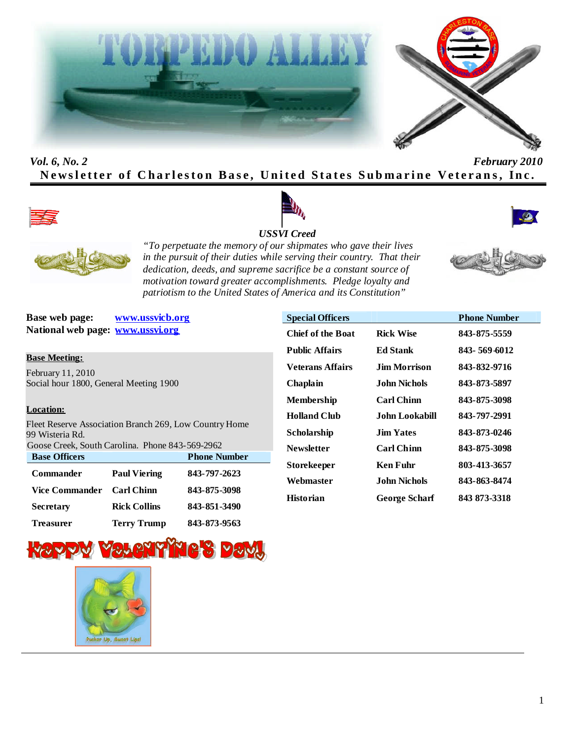



## *Vol. 6, No. 2 February 2010* **Newsletter of Charleston Base, United States Submarine Veterans, Inc.**





#### *USSVI Creed*





*"To perpetuate the memory of our shipmates who gave their lives in the pursuit of their duties while serving their country. That their dedication, deeds, and supreme sacrifice be a constant source of motivation toward greater accomplishments. Pledge loyalty and patriotism to the United States of America and its Constitution"*

**Base web page: www.ussvicb.org National web page: www.ussvi.org**

#### **Base Meeting:**

February 11, 2010 Social hour 1800, General Meeting 1900

#### **Location:**

Fleet Reserve Association Branch 269, Low Country Home 99 Wisteria Rd.

| Goose Creek, South Carolina. Phone 843-569-2962 |                     |                     |  |  |
|-------------------------------------------------|---------------------|---------------------|--|--|
| <b>Base Officers</b>                            |                     | <b>Phone Number</b> |  |  |
| <b>Commander</b>                                | <b>Paul Viering</b> | 843-797-2623        |  |  |
| Vice Commander                                  | <b>Carl Chinn</b>   | 843-875-3098        |  |  |
| <b>Secretary</b>                                | <b>Rick Collins</b> | 843-851-3490        |  |  |
| <b>Treasurer</b>                                | <b>Terry Trump</b>  | 843-873-9563        |  |  |





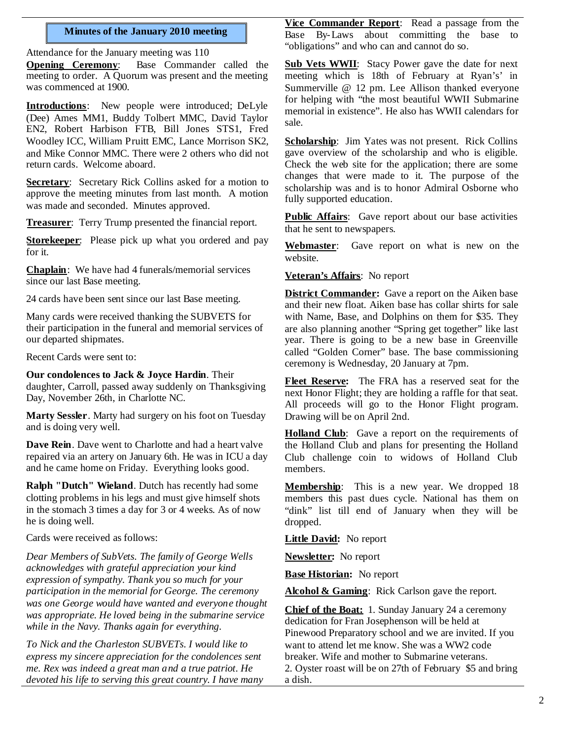## **Minutes of the January 2010 meeting**

Attendance for the January meeting was 110

**Opening Ceremony**: Base Commander called the meeting to order. A Quorum was present and the meeting was commenced at 1900.

**Introductions**: New people were introduced; DeLyle (Dee) Ames MM1, Buddy Tolbert MMC, David Taylor EN2, Robert Harbison FTB, Bill Jones STS1, Fred Woodley ICC, William Pruitt EMC, Lance Morrison SK2, and Mike Connor MMC. There were 2 others who did not return cards. Welcome aboard.

**Secretary**: Secretary Rick Collins asked for a motion to approve the meeting minutes from last month. A motion was made and seconded. Minutes approved.

**Treasurer**: Terry Trump presented the financial report.

**Storekeeper**: Please pick up what you ordered and pay for it.

**Chaplain**: We have had 4 funerals/memorial services since our last Base meeting.

24 cards have been sent since our last Base meeting.

Many cards were received thanking the SUBVETS for their participation in the funeral and memorial services of our departed shipmates.

Recent Cards were sent to:

**Our condolences to Jack & Joyce Hardin**. Their daughter, Carroll, passed away suddenly on Thanksgiving Day, November 26th, in Charlotte NC.

**Marty Sessler**. Marty had surgery on his foot on Tuesday and is doing very well.

**Dave Rein**. Dave went to Charlotte and had a heart valve repaired via an artery on January 6th. He was in ICU a day and he came home on Friday. Everything looks good.

**Ralph "Dutch" Wieland**. Dutch has recently had some clotting problems in his legs and must give himself shots in the stomach 3 times a day for 3 or 4 weeks. As of now he is doing well.

Cards were received as follows:

*Dear Members of SubVets. The family of George Wells acknowledges with grateful appreciation your kind expression of sympathy. Thank you so much for your participation in the memorial for George. The ceremony was one George would have wanted and everyone thought was appropriate. He loved being in the submarine service while in the Navy. Thanks again for everything.*

*To Nick and the Charleston SUBVETs. I would like to express my sincere appreciation for the condolences sent me. Rex was indeed a great man and a true patriot. He devoted his life to serving this great country. I have many*

**Vice Commander Report**: Read a passage from the Base By-Laws about committing the base to "obligations" and who can and cannot do so.

**Sub Vets WWII**: Stacy Power gave the date for next meeting which is 18th of February at Ryan's' in Summerville @ 12 pm. Lee Allison thanked everyone for helping with "the most beautiful WWII Submarine memorial in existence". He also has WWII calendars for sale.

**Scholarship**: Jim Yates was not present. Rick Collins gave overview of the scholarship and who is eligible. Check the web site for the application; there are some changes that were made to it. The purpose of the scholarship was and is to honor Admiral Osborne who fully supported education.

**Public Affairs**: Gave report about our base activities that he sent to newspapers.

**Webmaster**: Gave report on what is new on the website.

**Veteran's Affairs**: No report

**District Commander:** Gave a report on the Aiken base and their new float. Aiken base has collar shirts for sale with Name, Base, and Dolphins on them for \$35. They are also planning another "Spring get together" like last year. There is going to be a new base in Greenville called "Golden Corner" base. The base commissioning ceremony is Wednesday, 20 January at 7pm.

**Fleet Reserve:** The FRA has a reserved seat for the next Honor Flight; they are holding a raffle for that seat. All proceeds will go to the Honor Flight program. Drawing will be on April 2nd.

Holland Club: Gave a report on the requirements of the Holland Club and plans for presenting the Holland Club challenge coin to widows of Holland Club members.

**Membership**: This is a new year. We dropped 18 members this past dues cycle. National has them on "dink" list till end of January when they will be dropped.

**Little David:** No report

**Newsletter:** No report

**Base Historian:** No report

**Alcohol & Gaming**: Rick Carlson gave the report.

**Chief of the Boat:** 1. Sunday January 24 a ceremony dedication for Fran Josephenson will be held at Pinewood Preparatory school and we are invited. If you want to attend let me know. She was a WW2 code breaker. Wife and mother to Submarine veterans. 2. Oyster roast will be on 27th of February \$5 and bring a dish.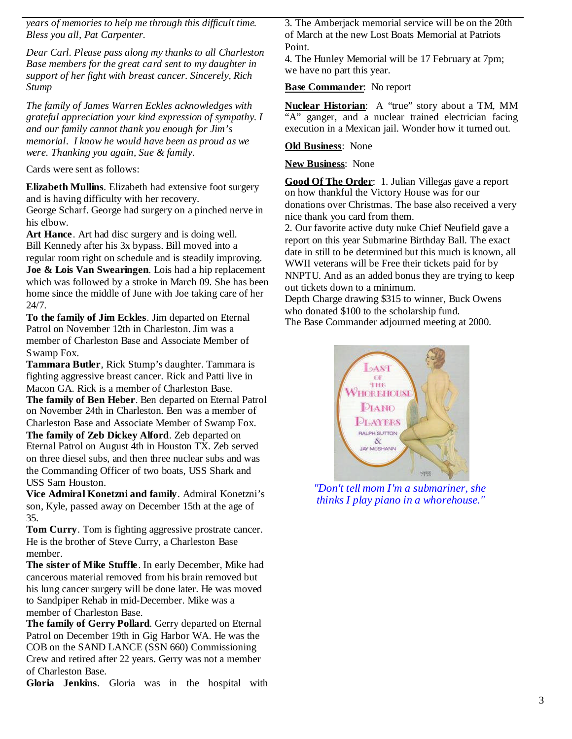*years of memories to help me through this difficult time. Bless you all, Pat Carpenter.*

*Dear Carl. Please pass along my thanks to all Charleston Base members for the great card sent to my daughter in support of her fight with breast cancer. Sincerely, Rich Stump*

*The family of James Warren Eckles acknowledges with grateful appreciation your kind expression of sympathy. I and our family cannot thank you enough for Jim's memorial. I know he would have been as proud as we were. Thanking you again, Sue & family.*

Cards were sent as follows:

**Elizabeth Mullins**. Elizabeth had extensive foot surgery and is having difficulty with her recovery.

George Scharf. George had surgery on a pinched nerve in his elbow.

**Art Hance**. Art had disc surgery and is doing well. Bill Kennedy after his 3x bypass. Bill moved into a regular room right on schedule and is steadily improving.

**Joe & Lois Van Swearingen**. Lois had a hip replacement which was followed by a stroke in March 09. She has been home since the middle of June with Joe taking care of her 24/7.

**To the family of Jim Eckles**. Jim departed on Eternal Patrol on November 12th in Charleston. Jim was a member of Charleston Base and Associate Member of Swamp Fox.

**Tammara Butler**, Rick Stump's daughter. Tammara is fighting aggressive breast cancer. Rick and Patti live in Macon GA. Rick is a member of Charleston Base.

**The family of Ben Heber**. Ben departed on Eternal Patrol on November 24th in Charleston. Ben was a member of Charleston Base and Associate Member of Swamp Fox.

**The family of Zeb Dickey Alford**. Zeb departed on Eternal Patrol on August 4th in Houston TX. Zeb served on three diesel subs, and then three nuclear subs and was the Commanding Officer of two boats, USS Shark and USS Sam Houston.

**Vice Admiral Konetzni and family**. Admiral Konetzni's son, Kyle, passed away on December 15th at the age of 35.

**Tom Curry**. Tom is fighting aggressive prostrate cancer. He is the brother of Steve Curry, a Charleston Base member.

**The sister of Mike Stuffle**. In early December, Mike had cancerous material removed from his brain removed but his lung cancer surgery will be done later. He was moved to Sandpiper Rehab in mid-December. Mike was a member of Charleston Base.

**The family of Gerry Pollard**. Gerry departed on Eternal Patrol on December 19th in Gig Harbor WA. He was the COB on the SAND LANCE (SSN 660) Commissioning Crew and retired after 22 years. Gerry was not a member of Charleston Base.

**Gloria Jenkins**. Gloria was in the hospital with

3. The Amberjack memorial service will be on the 20th of March at the new Lost Boats Memorial at Patriots Point.

4. The Hunley Memorial will be 17 February at 7pm; we have no part this year.

## **Base Commander**: No report

**Nuclear Historian**: A "true" story about a TM, MM "A" ganger, and a nuclear trained electrician facing execution in a Mexican jail. Wonder how it turned out.

## **Old Business**: None

## **New Business**: None

**Good Of The Order**: 1. Julian Villegas gave a report on how thankful the Victory House was for our donations over Christmas. The base also received a very nice thank you card from them.

2. Our favorite active duty nuke Chief Neufield gave a report on this year Submarine Birthday Ball. The exact date in still to be determined but this much is known, all WWII veterans will be Free their tickets paid for by NNPTU. And as an added bonus they are trying to keep out tickets down to a minimum.

Depth Charge drawing \$315 to winner, Buck Owens who donated \$100 to the scholarship fund. The Base Commander adjourned meeting at 2000.



*"Don't tell mom I'm a submariner, she thinks I play piano in a whorehouse."*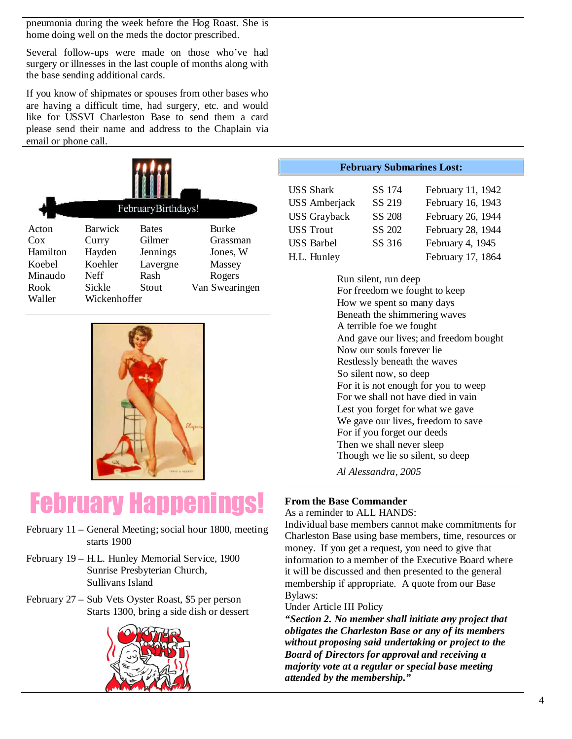pneumonia during the week before the Hog Roast. She is home doing well on the meds the doctor prescribed.

Several follow-ups were made on those who've had surgery or illnesses in the last couple of months along with the base sending additional cards.

If you know of shipmates or spouses from other bases who are having a difficult time, had surgery, etc. and would like for USSVI Charleston Base to send them a card please send their name and address to the Chaplain via email or phone call.

|                                                                 |                                                                         | FebruaryBirthdays!                                              |                                                                            |
|-----------------------------------------------------------------|-------------------------------------------------------------------------|-----------------------------------------------------------------|----------------------------------------------------------------------------|
| Acton<br>Cox<br>Hamilton<br>Koebel<br>Minaudo<br>Rook<br>Waller | Barwick<br>Curry<br>Hayden<br>Koehler<br>Neff<br>Sickle<br>Wickenhoffer | <b>Bates</b><br>Gilmer<br>Jennings<br>Lavergne<br>Rash<br>Stout | <b>Burke</b><br>Grassman<br>Jones, W<br>Massey<br>Rogers<br>Van Swearingen |



# February Happenings!

- February 11 General Meeting; social hour 1800, meeting starts 1900
- February 19 H.L. Hunley Memorial Service, 1900 Sunrise Presbyterian Church, Sullivans Island
- February 27 Sub Vets Oyster Roast, \$5 per person Starts 1300, bring a side dish or dessert



#### **February Submarines Lost:**

| <b>USS Shark</b>     | SS 174        | February 11, 1942 |
|----------------------|---------------|-------------------|
| <b>USS</b> Amberjack | SS 219        | February 16, 1943 |
| <b>USS</b> Grayback  | <b>SS 208</b> | February 26, 1944 |
| <b>USS Trout</b>     | SS 202        | February 28, 1944 |
| <b>USS Barbel</b>    | SS 316        | February 4, 1945  |
| H.L. Hunley          |               | February 17, 1864 |

Run silent, run deep For freedom we fought to keep How we spent so many days Beneath the shimmering waves A terrible foe we fought And gave our lives; and freedom bought Now our souls forever lie Restlessly beneath the waves So silent now, so deep For it is not enough for you to weep For we shall not have died in vain Lest you forget for what we gave We gave our lives, freedom to save For if you forget our deeds Then we shall never sleep Though we lie so silent, so deep

*Al Alessandra, 2005*

## **From the Base Commander**

As a reminder to ALL HANDS:

Individual base members cannot make commitments for Charleston Base using base members, time, resources or money. If you get a request, you need to give that information to a member of the Executive Board where it will be discussed and then presented to the general membership if appropriate. A quote from our Base Bylaws:

Under Article III Policy

*"Section 2. No member shall initiate any project that obligates the Charleston Base or any of its members without proposing said undertaking or project to the Board of Directors for approval and receiving a majority vote at a regular or special base meeting attended by the membership."*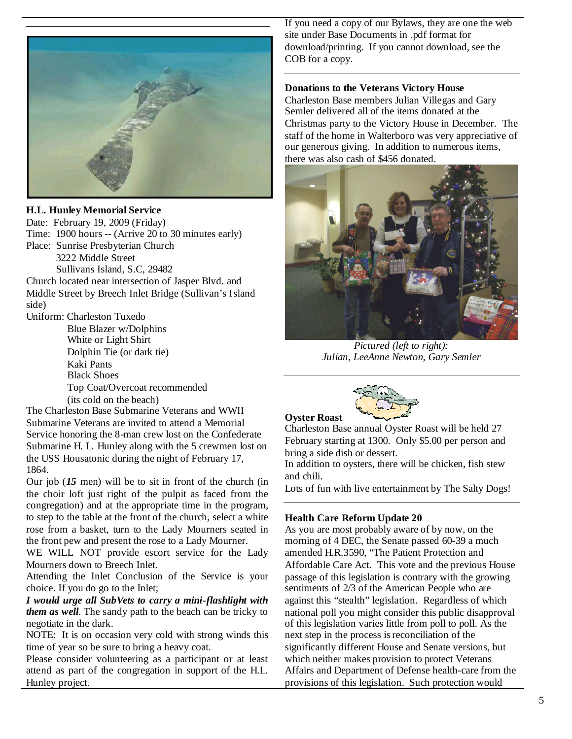

#### **H.L. Hunley Memorial Service**

Date: February 19, 2009 (Friday) Time: 1900 hours -- (Arrive 20 to 30 minutes early) Place: Sunrise Presbyterian Church 3222 Middle Street Sullivans Island, S.C, 29482

Church located near intersection of Jasper Blvd. and Middle Street by Breech Inlet Bridge (Sullivan's Island side)

Uniform: Charleston Tuxedo

Blue Blazer w/Dolphins White or Light Shirt Dolphin Tie (or dark tie) Kaki Pants Black Shoes Top Coat/Overcoat recommended (its cold on the beach)

The Charleston Base Submarine Veterans and WWII Submarine Veterans are invited to attend a Memorial Service honoring the 8-man crew lost on the Confederate Submarine H. L. Hunley along with the 5 crewmen lost on the USS Housatonic during the night of February 17, 1864.

Our job (*15* men) will be to sit in front of the church (in the choir loft just right of the pulpit as faced from the congregation) and at the appropriate time in the program, to step to the table at the front of the church, select a white rose from a basket, turn to the Lady Mourners seated in the front pew and present the rose to a Lady Mourner.

WE WILL NOT provide escort service for the Lady Mourners down to Breech Inlet.

Attending the Inlet Conclusion of the Service is your choice. If you do go to the Inlet;

*I would urge all SubVets to carry a mini-flashlight with them as well*. The sandy path to the beach can be tricky to negotiate in the dark.

NOTE: It is on occasion very cold with strong winds this time of year so be sure to bring a heavy coat.

Please consider volunteering as a participant or at least attend as part of the congregation in support of the H.L. Hunley project.

If you need a copy of our Bylaws, they are one the web site under Base Documents in .pdf format for download/printing. If you cannot download, see the COB for a copy.

#### **Donations to the Veterans Victory House**

Charleston Base members Julian Villegas and Gary Semler delivered all of the items donated at the Christmas party to the Victory House in December. The staff of the home in Walterboro was very appreciative of our generous giving. In addition to numerous items, there was also cash of \$456 donated.



*Pictured (left to right): Julian, LeeAnne Newton, Gary Semler*



Charleston Base annual Oyster Roast will be held 27 February starting at 1300. Only \$5.00 per person and bring a side dish or dessert.

In addition to oysters, there will be chicken, fish stew and chili.

Lots of fun with live entertainment by The Salty Dogs!

#### **Health Care Reform Update 20**

**Oyster Roast**

As you are most probably aware of by now, on the morning of 4 DEC, the Senate passed 60-39 a much amended H.R.3590, "The Patient Protection and Affordable Care Act. This vote and the previous House passage of this legislation is contrary with the growing sentiments of 2/3 of the American People who are against this "stealth" legislation. Regardless of which national poll you might consider this public disapproval of this legislation varies little from poll to poll. As the next step in the process isreconciliation of the significantly different House and Senate versions, but which neither makes provision to protect Veterans Affairs and Department of Defense health-care from the provisions of this legislation. Such protection would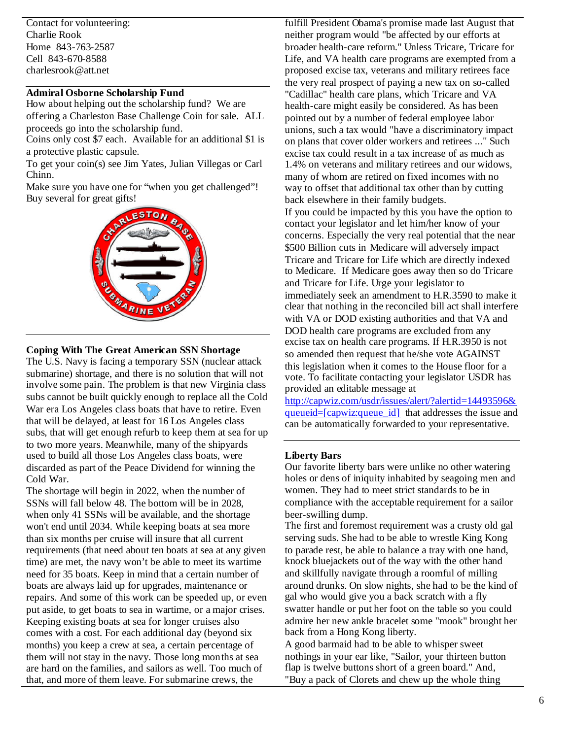Contact for volunteering: Charlie Rook Home 843-763-2587 Cell 843-670-8588 charlesrook@att.net

## **Admiral Osborne Scholarship Fund**

How about helping out the scholarship fund? We are offering a Charleston Base Challenge Coin for sale. ALL proceeds go into the scholarship fund.

Coins only cost \$7 each. Available for an additional \$1 is a protective plastic capsule.

To get your coin(s) see Jim Yates, Julian Villegas or Carl Chinn.

Make sure you have one for "when you get challenged"! Buy several for great gifts!



#### **Coping With The Great American SSN Shortage**

The U.S. Navy is facing a temporary SSN (nuclear attack submarine) shortage, and there is no solution that will not involve some pain. The problem is that new Virginia class subs cannot be built quickly enough to replace all the Cold War era Los Angeles class boats that have to retire. Even that will be delayed, at least for 16 Los Angeles class subs, that will get enough refurb to keep them at sea for up to two more years. Meanwhile, many of the shipyards used to build all those Los Angeles class boats, were discarded as part of the Peace Dividend for winning the Cold War.

The shortage will begin in 2022, when the number of SSNs will fall below 48. The bottom will be in 2028, when only 41 SSNs will be available, and the shortage won't end until 2034. While keeping boats at sea more than six months per cruise will insure that all current requirements (that need about ten boats at sea at any given time) are met, the navy won't be able to meet its wartime need for 35 boats. Keep in mind that a certain number of boats are always laid up for upgrades, maintenance or repairs. And some of this work can be speeded up, or even put aside, to get boats to sea in wartime, or a major crises. Keeping existing boats at sea for longer cruises also comes with a cost. For each additional day (beyond six months) you keep a crew at sea, a certain percentage of them will not stay in the navy. Those long months at sea are hard on the families, and sailors as well. Too much of that, and more of them leave. For submarine crews, the

fulfill President Obama's promise made last August that neither program would "be affected by our efforts at broader health-care reform." Unless Tricare, Tricare for Life, and VA health care programs are exempted from a proposed excise tax, veterans and military retirees face the very real prospect of paying a new tax on so-called "Cadillac" health care plans, which Tricare and VA health-care might easily be considered. As has been pointed out by a number of federal employee labor unions, such a tax would "have a discriminatory impact on plans that cover older workers and retirees ..." Such excise tax could result in a tax increase of as much as 1.4% on veterans and military retirees and our widows, many of whom are retired on fixed incomes with no way to offset that additional tax other than by cutting back elsewhere in their family budgets.

If you could be impacted by this you have the option to contact your legislator and let him/her know of your concerns. Especially the very real potential that the near \$500 Billion cuts in Medicare will adversely impact Tricare and Tricare for Life which are directly indexed to Medicare. If Medicare goes away then so do Tricare and Tricare for Life. Urge your legislator to immediately seek an amendment to H.R.3590 to make it clear that nothing in the reconciled bill act shall interfere with VA or DOD existing authorities and that VA and DOD health care programs are excluded from any excise tax on health care programs. If H.R.3950 is not so amended then request that he/she vote AGAINST this legislation when it comes to the House floor for a vote. To facilitate contacting your legislator USDR has provided an editable message at

http://capwiz.com/usdr/issues/alert/?alertid=14493596& queueid=[capwiz:queue\_id] that addresses the issue and can be automatically forwarded to your representative.

#### **Liberty Bars**

Our favorite liberty bars were unlike no other watering holes or dens of iniquity inhabited by seagoing men and women. They had to meet strict standards to be in compliance with the acceptable requirement for a sailor beer-swilling dump.

The first and foremost requirement was a crusty old gal serving suds. She had to be able to wrestle King Kong to parade rest, be able to balance a tray with one hand, knock bluejackets out of the way with the other hand and skillfully navigate through a roomful of milling around drunks. On slow nights, she had to be the kind of gal who would give you a back scratch with a fly swatter handle or put her foot on the table so you could admire her new ankle bracelet some "mook" brought her back from a Hong Kong liberty.

A good barmaid had to be able to whisper sweet nothings in your ear like, "Sailor, your thirteen button flap is twelve buttons short of a green board." And, "Buy a pack of Clorets and chew up the whole thing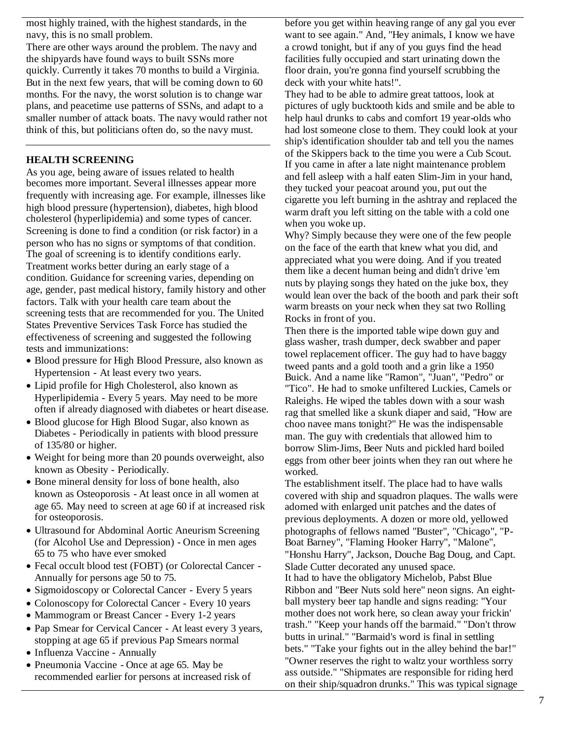most highly trained, with the highest standards, in the navy, this is no small problem.

There are other ways around the problem. The navy and the shipyards have found ways to built SSNs more quickly. Currently it takes 70 months to build a Virginia. But in the next few years, that will be coming down to 60 months. For the navy, the worst solution is to change war plans, and peacetime use patterns of SSNs, and adapt to a smaller number of attack boats. The navy would rather not think of this, but politicians often do, so the navy must.

## **HEALTH SCREENING**

As you age, being aware of issues related to health becomes more important. Several illnesses appear more frequently with increasing age. For example, illnesses like high blood pressure (hypertension), diabetes, high blood cholesterol (hyperlipidemia) and some types of cancer. Screening is done to find a condition (or risk factor) in a person who has no signs or symptoms of that condition. The goal of screening is to identify conditions early. Treatment works better during an early stage of a condition. Guidance for screening varies, depending on age, gender, past medical history, family history and other factors. Talk with your health care team about the screening tests that are recommended for you. The United States Preventive Services Task Force has studied the effectiveness of screening and suggested the following tests and immunizations:

- Blood pressure for High Blood Pressure, also known as Hypertension - At least every two years.
- Lipid profile for High Cholesterol, also known as Hyperlipidemia - Every 5 years. May need to be more often if already diagnosed with diabetes or heart disease.
- Blood glucose for High Blood Sugar, also known as Diabetes - Periodically in patients with blood pressure of 135/80 or higher.
- Weight for being more than 20 pounds overweight, also known as Obesity - Periodically.
- Bone mineral density for loss of bone health, also known as Osteoporosis - At least once in all women at age 65. May need to screen at age 60 if at increased risk for osteoporosis.
- Ultrasound for Abdominal Aortic Aneurism Screening (for Alcohol Use and Depression) - Once in men ages 65 to 75 who have ever smoked
- Fecal occult blood test (FOBT) (or Colorectal Cancer Annually for persons age 50 to 75.
- Sigmoidoscopy or Colorectal Cancer Every 5 years
- Colonoscopy for Colorectal Cancer Every 10 years
- Mammogram or Breast Cancer Every 1-2 years
- Pap Smear for Cervical Cancer At least every 3 years, stopping at age 65 if previous Pap Smears normal
- Influenza Vaccine Annually
- Pneumonia Vaccine Once at age 65. May be recommended earlier for persons at increased risk of

before you get within heaving range of any gal you ever want to see again." And, "Hey animals, I know we have a crowd tonight, but if any of you guys find the head facilities fully occupied and start urinating down the floor drain, you're gonna find yourself scrubbing the deck with your white hats!".

They had to be able to admire great tattoos, look at pictures of ugly bucktooth kids and smile and be able to help haul drunks to cabs and comfort 19 year-olds who had lost someone close to them. They could look at your ship's identification shoulder tab and tell you the names of the Skippers back to the time you were a Cub Scout. If you came in after a late night maintenance problem and fell asleep with a half eaten Slim-Jim in your hand, they tucked your peacoat around you, put out the cigarette you left burning in the ashtray and replaced the warm draft you left sitting on the table with a cold one when you woke up.

Why? Simply because they were one of the few people on the face of the earth that knew what you did, and appreciated what you were doing. And if you treated them like a decent human being and didn't drive 'em nuts by playing songs they hated on the juke box, they would lean over the back of the booth and park their soft warm breasts on your neck when they sat two Rolling Rocks in front of you.

Then there is the imported table wipe down guy and glass washer, trash dumper, deck swabber and paper towel replacement officer. The guy had to have baggy tweed pants and a gold tooth and a grin like a 1950 Buick. And a name like "Ramon", "Juan", "Pedro" or "Tico". He had to smoke unfiltered Luckies, Camels or Raleighs. He wiped the tables down with a sour wash rag that smelled like a skunk diaper and said, "How are choo navee mans tonight?" He was the indispensable man. The guy with credentials that allowed him to borrow Slim-Jims, Beer Nuts and pickled hard boiled eggs from other beer joints when they ran out where he worked.

The establishment itself. The place had to have walls covered with ship and squadron plaques. The walls were adorned with enlarged unit patches and the dates of previous deployments. A dozen or more old, yellowed photographs of fellows named "Buster", "Chicago", "P-Boat Barney", "Flaming Hooker Harry", "Malone", "Honshu Harry", Jackson, Douche Bag Doug, and Capt. Slade Cutter decorated any unused space. It had to have the obligatory Michelob, Pabst Blue Ribbon and "Beer Nuts sold here" neon signs. An eightball mystery beer tap handle and signs reading: "Your mother does not work here, so clean away your frickin' trash." "Keep your hands off the barmaid." "Don't throw butts in urinal." "Barmaid's word is final in settling bets." "Take your fights out in the alley behind the bar!" "Owner reserves the right to waltz your worthless sorry ass outside." "Shipmates are responsible for riding herd on their ship/squadron drunks." This was typical signage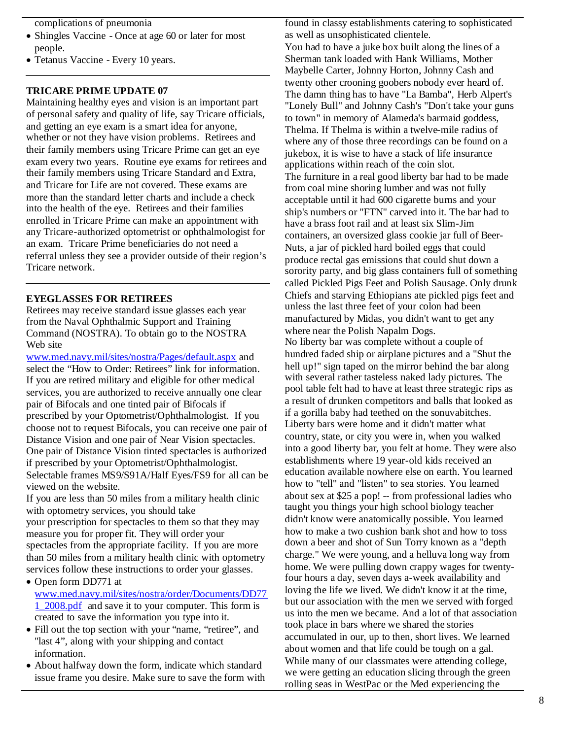complications of pneumonia

- Shingles Vaccine Once at age 60 or later for most people.
- Tetanus Vaccine Every 10 years.

#### **TRICARE PRIME UPDATE 07**

Maintaining healthy eyes and vision is an important part of personal safety and quality of life, say Tricare officials, and getting an eye exam is a smart idea for anyone, whether or not they have vision problems. Retirees and their family members using Tricare Prime can get an eye exam every two years. Routine eye exams for retirees and their family members using Tricare Standard and Extra, and Tricare for Life are not covered. These exams are more than the standard letter charts and include a check into the health of the eye. Retirees and their families enrolled in Tricare Prime can make an appointment with any Tricare-authorized optometrist or ophthalmologist for an exam. Tricare Prime beneficiaries do not need a referral unless they see a provider outside of their region's Tricare network.

#### **EYEGLASSES FOR RETIREES**

Retirees may receive standard issue glasses each year from the Naval Ophthalmic Support and Training Command (NOSTRA). To obtain go to the NOSTRA Web site

www.med.navy.mil/sites/nostra/Pages/default.aspx and select the "How to Order: Retirees" link for information. If you are retired military and eligible for other medical services, you are authorized to receive annually one clear pair of Bifocals and one tinted pair of Bifocals if prescribed by your Optometrist/Ophthalmologist. If you choose not to request Bifocals, you can receive one pair of Distance Vision and one pair of Near Vision spectacles. One pair of Distance Vision tinted spectacles is authorized if prescribed by your Optometrist/Ophthalmologist. Selectable frames MS9/S91A/Half Eyes/FS9 for all can be viewed on the website.

If you are less than 50 miles from a military health clinic with optometry services, you should take your prescription for spectacles to them so that they may measure you for proper fit. They will order your spectacles from the appropriate facility. If you are more than 50 miles from a military health clinic with optometry services follow these instructions to order your glasses.

- Open form DD771 at www.med.navy.mil/sites/nostra/order/Documents/DD77 1\_2008.pdf and save it to your computer. This form is created to save the information you type into it.
- Fill out the top section with your "name, "retiree", and "last 4", along with your shipping and contact information.
- About halfway down the form, indicate which standard issue frame you desire. Make sure to save the form with

found in classy establishments catering to sophisticated as well as unsophisticated clientele. You had to have a juke box built along the lines of a Sherman tank loaded with Hank Williams, Mother Maybelle Carter, Johnny Horton, Johnny Cash and twenty other crooning goobers nobody ever heard of. The damn thing has to have "La Bamba", Herb Alpert's "Lonely Bull" and Johnny Cash's "Don't take your guns to town" in memory of Alameda's barmaid goddess, Thelma. If Thelma is within a twelve-mile radius of where any of those three recordings can be found on a jukebox, it is wise to have a stack of life insurance applications within reach of the coin slot. The furniture in a real good liberty bar had to be made from coal mine shoring lumber and was not fully acceptable until it had 600 cigarette burns and your ship's numbers or "FTN" carved into it. The bar had to have a brass foot rail and at least six Slim-Jim containers, an oversized glass cookie jar full of Beer-Nuts, a jar of pickled hard boiled eggs that could produce rectal gas emissions that could shut down a sorority party, and big glass containers full of something called Pickled Pigs Feet and Polish Sausage. Only drunk Chiefs and starving Ethiopians ate pickled pigs feet and unless the last three feet of your colon had been manufactured by Midas, you didn't want to get any where near the Polish Napalm Dogs. No liberty bar was complete without a couple of hundred faded ship or airplane pictures and a "Shut the hell up!" sign taped on the mirror behind the bar along with several rather tasteless naked lady pictures. The pool table felt had to have at least three strategic rips as a result of drunken competitors and balls that looked as if a gorilla baby had teethed on the sonuvabitches. Liberty bars were home and it didn't matter what country, state, or city you were in, when you walked into a good liberty bar, you felt at home. They were also establishments where 19 year-old kids received an education available nowhere else on earth. You learned how to "tell" and "listen" to sea stories. You learned about sex at \$25 a pop! -- from professional ladies who taught you things your high school biology teacher didn't know were anatomically possible. You learned how to make a two cushion bank shot and how to toss down a beer and shot of Sun Torry known as a "depth charge." We were young, and a helluva long way from home. We were pulling down crappy wages for twentyfour hours a day, seven days a-week availability and loving the life we lived. We didn't know it at the time, but our association with the men we served with forged us into the men we became. And a lot of that association took place in bars where we shared the stories accumulated in our, up to then, short lives. We learned about women and that life could be tough on a gal. While many of our classmates were attending college, we were getting an education slicing through the green rolling seas in WestPac or the Med experiencing the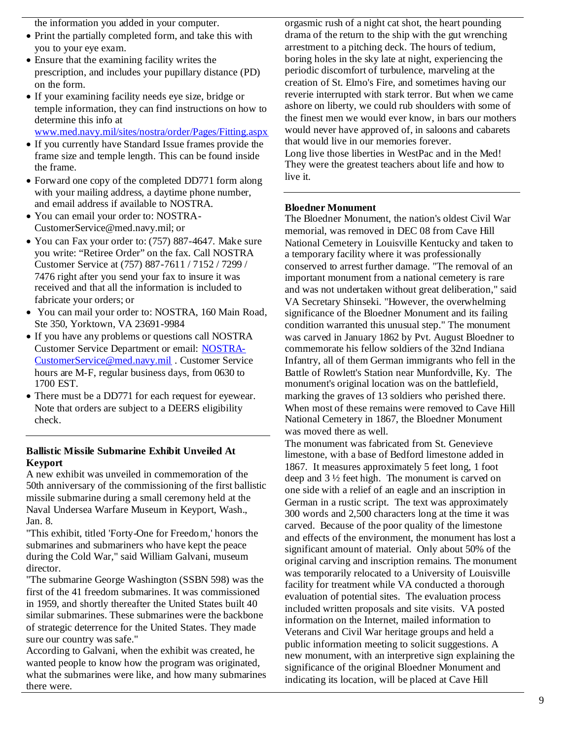the information you added in your computer.

- Print the partially completed form, and take this with you to your eye exam.
- Ensure that the examining facility writes the prescription, and includes your pupillary distance (PD) on the form.
- If your examining facility needs eye size, bridge or temple information, they can find instructions on how to determine this info at
- www.med.navy.mil/sites/nostra/order/Pages/Fitting.aspx
- If you currently have Standard Issue frames provide the frame size and temple length. This can be found inside the frame.
- Forward one copy of the completed DD771 form along with your mailing address, a daytime phone number, and email address if available to NOSTRA.
- You can email your order to: NOSTRA-CustomerService@med.navy.mil; or
- You can Fax your order to: (757) 887-4647. Make sure you write: "Retiree Order" on the fax. Call NOSTRA Customer Service at (757) 887-7611 / 7152 / 7299 / 7476 right after you send your fax to insure it was received and that all the information is included to fabricate your orders; or
- You can mail your order to: NOSTRA, 160 Main Road, Ste 350, Yorktown, VA 23691-9984
- If you have any problems or questions call NOSTRA Customer Service Department or email: NOSTRA-CustomerService@med.navy.mil . Customer Service hours are M-F, regular business days, from 0630 to 1700 EST.
- There must be a DD771 for each request for eyewear. Note that orders are subject to a DEERS eligibility check.

#### **Ballistic Missile Submarine Exhibit Unveiled At Keyport**

A new exhibit was unveiled in commemoration of the 50th anniversary of the commissioning of the first ballistic missile submarine during a small ceremony held at the Naval Undersea Warfare Museum in Keyport, Wash., Jan. 8.

"This exhibit, titled 'Forty-One for Freedom,' honors the submarines and submariners who have kept the peace during the Cold War," said William Galvani, museum director.

"The submarine George Washington (SSBN 598) was the first of the 41 freedom submarines. It was commissioned in 1959, and shortly thereafter the United States built 40 similar submarines. These submarines were the backbone of strategic deterrence for the United States. They made sure our country was safe."

According to Galvani, when the exhibit was created, he wanted people to know how the program was originated, what the submarines were like, and how many submarines there were.

orgasmic rush of a night cat shot, the heart pounding drama of the return to the ship with the gut wrenching arrestment to a pitching deck. The hours of tedium, boring holes in the sky late at night, experiencing the periodic discomfort of turbulence, marveling at the creation of St. Elmo's Fire, and sometimes having our reverie interrupted with stark terror. But when we came ashore on liberty, we could rub shoulders with some of the finest men we would ever know, in bars our mothers would never have approved of, in saloons and cabarets that would live in our memories forever. Long live those liberties in WestPac and in the Med! They were the greatest teachers about life and how to live it.

#### **Bloedner Monument**

The Bloedner Monument, the nation's oldest Civil War memorial, was removed in DEC 08 from Cave Hill National Cemetery in Louisville Kentucky and taken to a temporary facility where it was professionally conserved to arrest further damage. "The removal of an important monument from a national cemetery is rare and was not undertaken without great deliberation," said VA Secretary Shinseki. "However, the overwhelming significance of the Bloedner Monument and its failing condition warranted this unusual step." The monument was carved in January 1862 by Pvt. August Bloedner to commemorate his fellow soldiers of the 32nd Indiana Infantry, all of them German immigrants who fell in the Battle of Rowlett's Station near Munfordville, Ky. The monument's original location was on the battlefield, marking the graves of 13 soldiers who perished there. When most of these remains were removed to Cave Hill National Cemetery in 1867, the Bloedner Monument was moved there as well.

The monument was fabricated from St. Genevieve limestone, with a base of Bedford limestone added in 1867. It measures approximately 5 feet long, 1 foot deep and 3 ½ feet high. The monument is carved on one side with a relief of an eagle and an inscription in German in a rustic script. The text was approximately 300 words and 2,500 characters long at the time it was carved. Because of the poor quality of the limestone and effects of the environment, the monument has lost a significant amount of material. Only about 50% of the original carving and inscription remains. The monument was temporarily relocated to a University of Louisville facility for treatment while VA conducted a thorough evaluation of potential sites. The evaluation process included written proposals and site visits. VA posted information on the Internet, mailed information to Veterans and Civil War heritage groups and held a public information meeting to solicit suggestions. A new monument, with an interpretive sign explaining the significance of the original Bloedner Monument and indicating its location, will be placed at Cave Hill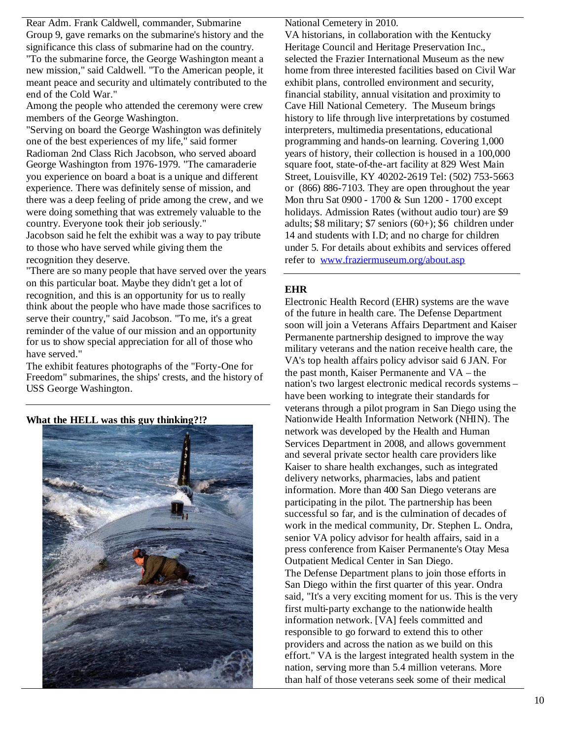Rear Adm. Frank Caldwell, commander, Submarine Group 9, gave remarks on the submarine's history and the significance this class of submarine had on the country.

"To the submarine force, the George Washington meant a new mission," said Caldwell. "To the American people, it meant peace and security and ultimately contributed to the end of the Cold War."

Among the people who attended the ceremony were crew members of the George Washington.

"Serving on board the George Washington was definitely one of the best experiences of my life," said former Radioman 2nd Class Rich Jacobson, who served aboard George Washington from 1976-1979. "The camaraderie you experience on board a boat is a unique and different experience. There was definitely sense of mission, and there was a deep feeling of pride among the crew, and we were doing something that was extremely valuable to the country. Everyone took their job seriously."

Jacobson said he felt the exhibit was a way to pay tribute to those who have served while giving them the recognition they deserve.

"There are so many people that have served over the years on this particular boat. Maybe they didn't get a lot of recognition, and this is an opportunity for us to really think about the people who have made those sacrifices to serve their country," said Jacobson. "To me, it's a great reminder of the value of our mission and an opportunity for us to show special appreciation for all of those who have served."

The exhibit features photographs of the "Forty-One for Freedom" submarines, the ships' crests, and the history of USS George Washington.

**What the HELL was this guy thinking?!?**



National Cemetery in 2010.

VA historians, in collaboration with the Kentucky Heritage Council and Heritage Preservation Inc., selected the Frazier International Museum as the new home from three interested facilities based on Civil War exhibit plans, controlled environment and security, financial stability, annual visitation and proximity to Cave Hill National Cemetery. The Museum brings history to life through live interpretations by costumed interpreters, multimedia presentations, educational programming and hands-on learning. Covering 1,000 years of history, their collection is housed in a 100,000 square foot, state-of-the-art facility at 829 West Main Street, Louisville, KY 40202-2619 Tel: (502) 753-5663 or (866) 886-7103. They are open throughout the year Mon thru Sat 0900 - 1700 & Sun 1200 - 1700 except holidays. Admission Rates (without audio tour) are \$9 adults; \$8 military; \$7 seniors (60+); \$6 children under 14 and students with I.D; and no charge for children under 5. For details about exhibits and services offered refer to www.fraziermuseum.org/about.asp

## **EHR**

Electronic Health Record (EHR) systems are the wave of the future in health care. The Defense Department soon will join a Veterans Affairs Department and Kaiser Permanente partnership designed to improve the way military veterans and the nation receive health care, the VA's top health affairs policy advisor said 6 JAN. For the past month, Kaiser Permanente and VA – the nation's two largest electronic medical records systems – have been working to integrate their standards for veterans through a pilot program in San Diego using the Nationwide Health Information Network (NHIN). The network was developed by the Health and Human Services Department in 2008, and allows government and several private sector health care providers like Kaiser to share health exchanges, such as integrated delivery networks, pharmacies, labs and patient information. More than 400 San Diego veterans are participating in the pilot. The partnership has been successful so far, and is the culmination of decades of work in the medical community, Dr. Stephen L. Ondra, senior VA policy advisor for health affairs, said in a press conference from Kaiser Permanente's Otay Mesa Outpatient Medical Center in San Diego. The Defense Department plans to join those efforts in San Diego within the first quarter of this year. Ondra said, "It's a very exciting moment for us. This is the very first multi-party exchange to the nationwide health information network. [VA] feels committed and responsible to go forward to extend this to other providers and across the nation as we build on this effort." VA is the largest integrated health system in the nation, serving more than 5.4 million veterans. More than half of those veterans seek some of their medical